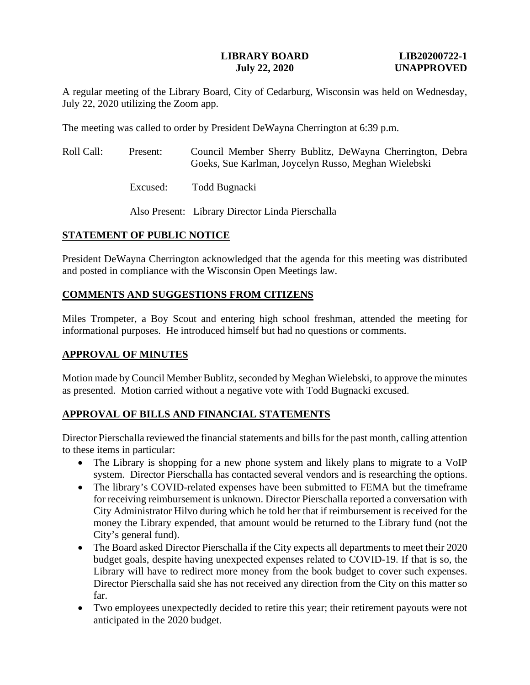#### **LIBRARY BOARD LIB20200722-1 July 22, 2020 UNAPPROVED**

A regular meeting of the Library Board, City of Cedarburg, Wisconsin was held on Wednesday, July 22, 2020 utilizing the Zoom app.

The meeting was called to order by President DeWayna Cherrington at 6:39 p.m.

| Roll Call: | Present: | Council Member Sherry Bublitz, DeWayna Cherrington, Debra<br>Goeks, Sue Karlman, Joycelyn Russo, Meghan Wielebski |
|------------|----------|-------------------------------------------------------------------------------------------------------------------|
|            | Excused: | Todd Bugnacki                                                                                                     |

Also Present: Library Director Linda Pierschalla

## **STATEMENT OF PUBLIC NOTICE**

President DeWayna Cherrington acknowledged that the agenda for this meeting was distributed and posted in compliance with the Wisconsin Open Meetings law.

## **COMMENTS AND SUGGESTIONS FROM CITIZENS**

Miles Trompeter, a Boy Scout and entering high school freshman, attended the meeting for informational purposes. He introduced himself but had no questions or comments.

## **APPROVAL OF MINUTES**

Motion made by Council Member Bublitz, seconded by Meghan Wielebski, to approve the minutes as presented. Motion carried without a negative vote with Todd Bugnacki excused.

## **APPROVAL OF BILLS AND FINANCIAL STATEMENTS**

Director Pierschalla reviewed the financial statements and bills for the past month, calling attention to these items in particular:

- The Library is shopping for a new phone system and likely plans to migrate to a VoIP system. Director Pierschalla has contacted several vendors and is researching the options.
- The library's COVID-related expenses have been submitted to FEMA but the timeframe for receiving reimbursement is unknown. Director Pierschalla reported a conversation with City Administrator Hilvo during which he told her that if reimbursement is received for the money the Library expended, that amount would be returned to the Library fund (not the City's general fund).
- The Board asked Director Pierschalla if the City expects all departments to meet their 2020 budget goals, despite having unexpected expenses related to COVID-19. If that is so, the Library will have to redirect more money from the book budget to cover such expenses. Director Pierschalla said she has not received any direction from the City on this matter so far.
- Two employees unexpectedly decided to retire this year; their retirement payouts were not anticipated in the 2020 budget.